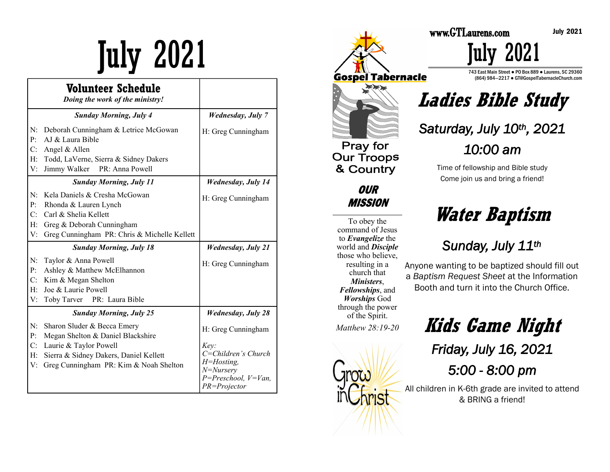# July 2021

|                            | Volunteer Schedule<br>Doing the work of the ministry!                                                                                                                          |                                                                                                                                  |
|----------------------------|--------------------------------------------------------------------------------------------------------------------------------------------------------------------------------|----------------------------------------------------------------------------------------------------------------------------------|
|                            | <b>Sunday Morning, July 4</b>                                                                                                                                                  | <b>Wednesday</b> , July 7                                                                                                        |
| N:<br>P:<br>C:<br>H:<br>V: | Deborah Cunningham & Letrice McGowan<br>AJ & Laura Bible<br>Angel & Allen<br>Todd, LaVerne, Sierra & Sidney Dakers<br>Jimmy Walker PR: Anna Powell                             | H: Greg Cunningham                                                                                                               |
|                            | <b>Sunday Morning, July 11</b>                                                                                                                                                 | <b>Wednesday</b> , July 14                                                                                                       |
| N:<br>P:<br>C:<br>H:<br>V: | Kela Daniels & Cresha McGowan<br>Rhonda & Lauren Lynch<br>Carl & Shelia Kellett<br>Greg & Deborah Cunningham<br>Greg Cunningham PR: Chris & Michelle Kellett                   | H: Greg Cunningham                                                                                                               |
|                            | <b>Sunday Morning, July 18</b>                                                                                                                                                 | <b>Wednesday, July 21</b>                                                                                                        |
| N:<br>P:<br>C:<br>H:<br>V: | Taylor & Anna Powell<br>Ashley & Matthew McElhannon<br>Kim & Megan Shelton<br>Joe & Laurie Powell<br>Toby Tarver<br>PR: Laura Bible                                            | H: Greg Cunningham                                                                                                               |
|                            | <b>Sunday Morning, July 25</b>                                                                                                                                                 | <b>Wednesday, July 28</b>                                                                                                        |
| N:<br>P:<br>C:<br>H:<br>V: | Sharon Sluder & Becca Emery<br>Megan Shelton & Daniel Blackshire<br>Laurie & Taylor Powell<br>Sierra & Sidney Dakers, Daniel Kellett<br>Greg Cunningham PR: Kim & Noah Shelton | H: Greg Cunningham<br>Kev:<br>C=Children's Church<br>$H = H$ osting,<br>$N = Nursery$<br>$P = Preschool, V=Van,$<br>PR=Projector |



**OUR MISSION** 

To obey the command of Jesus to *Evangelize* the world and *Disciple*  those who believe, resulting in a church that *Ministers*, *Fellowships*, and *Worships* God through the power of the Spirit. *Matthew 28:19-20* 



743 East Main Street ● PO Box 889 ● Laurens, SC 29360 (864) 984—2217 ● GT@GospelTabernacleChurch.com

**Ladies Bible Study**

July 2021

*Saturday, July 10th, 2021* 

*10:00 am* 

Time of fellowship and Bible study Come join us and bring a friend!

## **Water Baptism**

### *Sunday, July 11th*

Anyone wanting to be baptized should fill out a *Baptism Request Sheet* at the Information Booth and turn it into the Church Office.

> **Kids Game Night** *Friday, July 16, 2021 5:00 - 8:00 pm*

All children in K-6th grade are invited to attend & BRING a friend!

July 2021